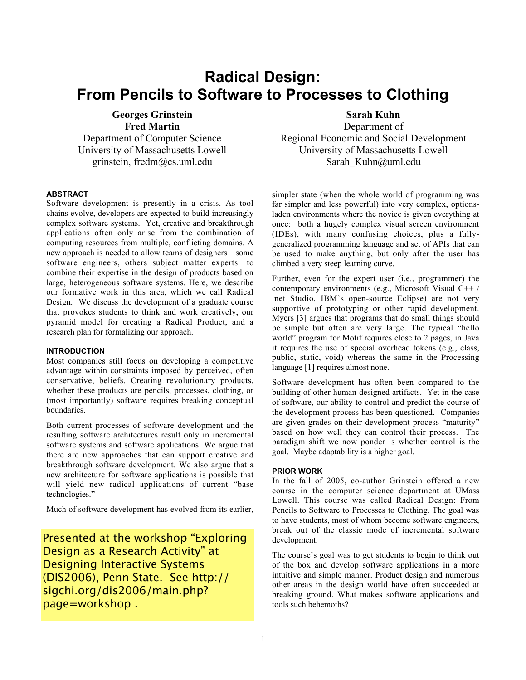# **Radical Design: From Pencils to Software to Processes to Clothing**

**Georges Grinstein Fred Martin** Department of Computer Science University of Massachusetts Lowell grinstein, fredm@cs.uml.edu

# **ABSTRACT**

Software development is presently in a crisis. As tool chains evolve, developers are expected to build increasingly complex software systems. Yet, creative and breakthrough applications often only arise from the combination of computing resources from multiple, conflicting domains. A new approach is needed to allow teams of designers—some software engineers, others subject matter experts—to combine their expertise in the design of products based on large, heterogeneous software systems. Here, we describe our formative work in this area, which we call Radical Design. We discuss the development of a graduate course that provokes students to think and work creatively, our pyramid model for creating a Radical Product, and a research plan for formalizing our approach.

#### **INTRODUCTION**

Most companies still focus on developing a competitive advantage within constraints imposed by perceived, often conservative, beliefs. Creating revolutionary products, whether these products are pencils, processes, clothing, or (most importantly) software requires breaking conceptual boundaries.

Both current processes of software development and the resulting software architectures result only in incremental software systems and software applications. We argue that there are new approaches that can support creative and breakthrough software development. We also argue that a new architecture for software applications is possible that will yield new radical applications of current "base technologies."

Much of software development has evolved from its earlier,

Presented at the workshop "Exploring Design as a Research Activity" at Designing Interactive Systems (DIS2006), Penn State. See http:// sigchi.org/dis2006/main.php? page=workshop .

# Sarah Kuhn

Department of Regional Economic and Social Development University of Massachusetts Lowell Sarah Kuhn@uml.edu

simpler state (when the whole world of programming was far simpler and less powerful) into very complex, optionsladen environments where the novice is given everything at once: both a hugely complex visual screen environment (IDEs), with many confusing choices, plus a fullygeneralized programming language and set of APIs that can be used to make anything, but only after the user has climbed a very steep learning curve.

Further, even for the expert user (i.e., programmer) the contemporary environments (e.g., Microsoft Visual C++ / .net Studio, IBM's open-source Eclipse) are not very supportive of prototyping or other rapid development. Myers [3] argues that programs that do small things should be simple but often are very large. The typical "hello world" program for Motif requires close to 2 pages, in Java it requires the use of special overhead tokens (e.g., class, public, static, void) whereas the same in the Processing language [1] requires almost none.

Software development has often been compared to the building of other human-designed artifacts. Yet in the case of software, our ability to control and predict the course of the development process has been questioned. Companies are given grades on their development process "maturity" based on how well they can control their process. The paradigm shift we now ponder is whether control is the goal. Maybe adaptability is a higher goal.

#### **PRIOR WORK**

In the fall of 2005, co-author Grinstein offered a new course in the computer science department at UMass Lowell. This course was called Radical Design: From Pencils to Software to Processes to Clothing. The goal was to have students, most of whom become software engineers, break out of the classic mode of incremental software development.

The course's goal was to get students to begin to think out of the box and develop software applications in a more intuitive and simple manner. Product design and numerous other areas in the design world have often succeeded at breaking ground. What makes software applications and tools such behemoths?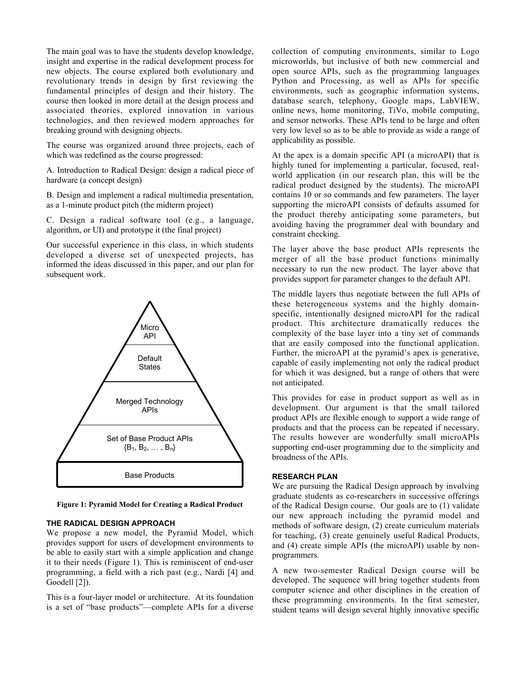The main goal was to have the students develop knowledge, insight and expertise in the radical development process for new objects. The course explored both evolutionary and revolutionary trends in design by first reviewing the fundamental principles of design and their history. The course then looked in more detail at the design process and associated theories, explored innovation in various technologies, and then reviewed modern approaches for breaking ground with designing objects.

The course was organized around three projects, each of which was redefined as the course progressed:

A. Introduction to Aadical Design: design a radical piece of hardware (a concept design)

B. Design and implement a radical multimedia presentation, as a 1-minute product pitch (the midterm project)

C. Design a radical software tool (e.g., a language, algorithm, or II) and prototype it (the final project)

Our successful experience in this class, in which students developed a diverse set of unexpected projects, has informed the ideas discussed in this paper, and our plan for subsequent work.



Figure 1: Pyramid Model for Creating a Radical Product

#### **THE RADICAL DESIGN APPROACH**

We propose a new model, the Pyramid Model, which provides support for users of development environments to be able to easily start with a simple application and change it to their needs (Figure 1). This is reminiscent of end-user programming, a field with a rich past (e.g., Nardi [4] and Goodell [2]).

This is a four-layer model or architecture. At its foundation is a set of "base products"—complete APIs for a diverse

collection of computing environments, similar to Logo microworlds, but inclusive of both new commercial and open source APIs, such as the programming languages Python and Processing, as well as APIs for specific environments, such as geographic information systems, database search, telephony, Google maps, LabVIEW, online news, home monitoring, TiVo, mobile computing, and sensor networks. These APIs tend to be large and often very low level so as to be able to provide as wide a range of applicability as possible.

At the apex is a domain specific API (a microAPI) that is highly tuned for implementing a particular, focused, realworld application (in our research plan, this will be the radical product designed by the students). The microAPI contains 10 or so commands and few parameters. The layer supporting the microAPI consists of defaults assumed for the product thereby anticipating some parameters, but avoiding having the programmer deal with boundary and constraint checking.

The layer above the base product APIs represents the merger of all the base product functions minimally necessary to run the new product. The layer above that provides support for parameter changes to the default API.

The middle layers thus negotiate between the full APIs of these heterogeneous systems and the highly domainspecific, intentionally designed microAPI for the radical product. This architecture dramatically reduces the complexity of the base layer into a tiny set of commands that are easily composed into the functional application. Further, the microAPI at the pyramid's apex is generative, capable of easily implementing not only the radical product for which it was designed, but a range of others that were not anticipated.

This provides for ease in product support as well as in development. Our argument is that the small tailored product APIs are flexible enough to support a wide range of products and that the process can be repeated if necessary. The results however are wonderfully small microAPIs supporting end-user programming due to the simplicity and broadness of the APIs.

### **RESEARCH PLAN**

We are pursuing the Radical Design approach by involving graduate students as co-researchers in successive offerings of the Aadical Design course. Our goals are to (1) validate our new approach including the pyramid model and methods of software design, (2) create curriculum materials for teaching, (3) create genuinely useful Aadical Products, and (4) create simple APIs (the microAPI) usable by nonprogrammers.

A new two-semester Aadical Design course will be developed. The sequence will bring together students from computer science and other disciplines in the creation of these programming environments. In the first semester, student teams will design several highly innovative specific